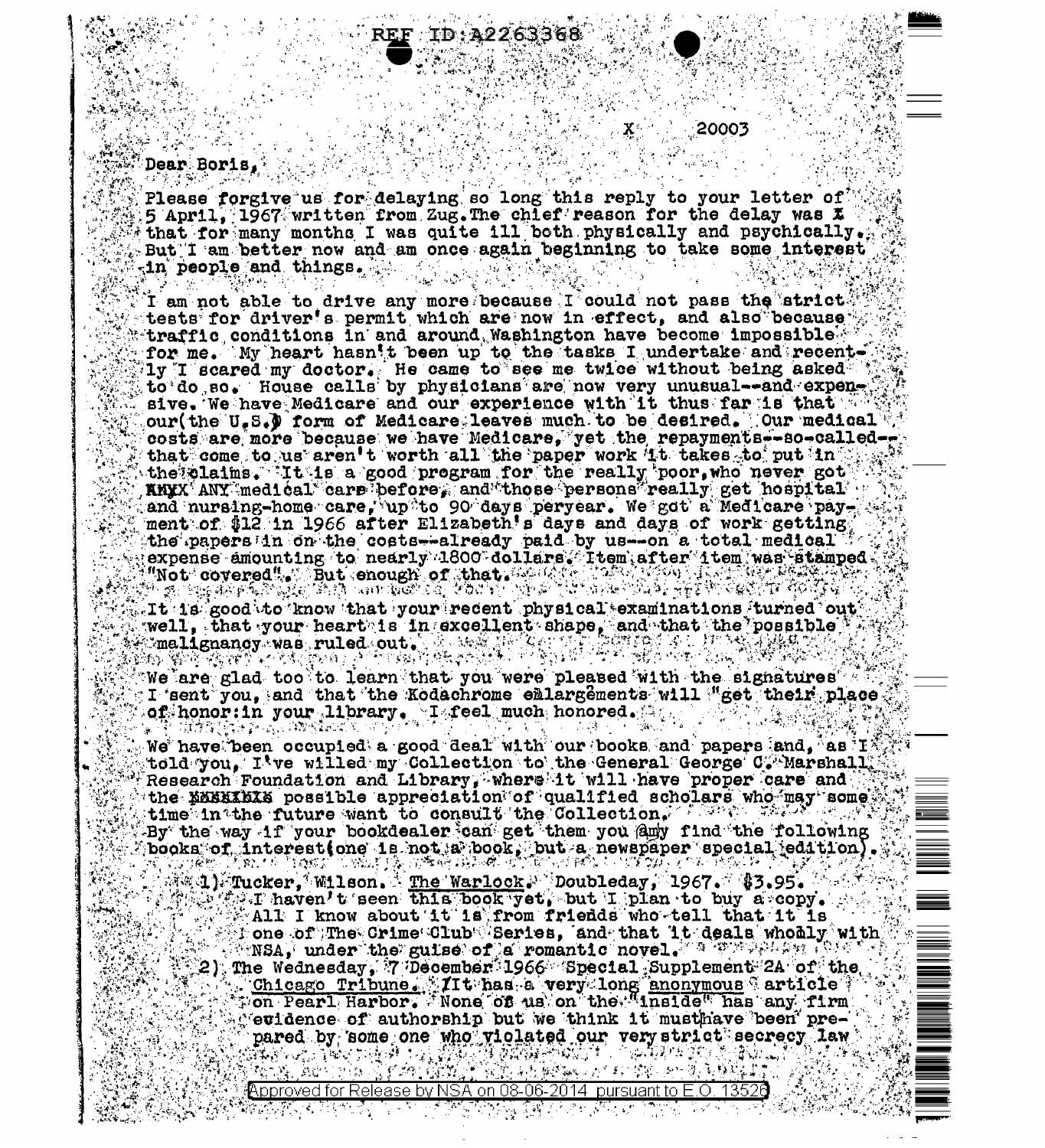20003

Dear Boris.

Please forgive us for delaying so long this reply to your letter of 5 April, 1967 written from Zug. The chief reason for the delay was  $\bar{x}$  $\ast$  that for many months I was quite ill both physically and psychically. But I am better now and am once again beginning to take some interest  $\mathbf{in}$  people and things.

2263368

I am not able to drive any more because I could not pass the atrict tests for driver's permit which are now in effect, and also because;  $\pm$ traffic conditions in and around Washington have become impossible  $\pm$ for me. My heart hasn't been up to the tasks I undertake and recent. ly I scared my doctor. He came to see me twice without being asked  $^{\circ}$ to do so. House calls by physicians are now very unusual--and expension sive. We have Medicare and our experience with it thus far is that our(the U.S.) form of Medicare leaves much to be desired. Our medical  $\circ$  costs are more because we have Medicare, yet the repayments--so-called-that come to us aren't worth all the paper work it takes to put in the alaims. It is a good program for the really poor, who never got ANY ANY medical care before, and those persons really get hospital.<br>and nursing-home care, up to 90 days peryear. We got a Medicare payment of \$12 in 1966 after Elizabeth's days and days of work getting. the papers in on the costs--already paid by us--on a total medical  $\Box$ expense amounting to nearly 1800 dollars. Item after item was stamped **Not covered". Ant enough of that, Angles**<br>And the derivate and companies of the property ा भौतेक र HANG ANG ALAWAY NG MGA TAONG A

It is good to know that your recent physical examinations turned out well, that your heart is in axcellent shape, and that the possible  $\mathbb{R}$ 海军政协工 医外科分解器 **Armalignancy was ruled out.** A said in 2005<br>And the fact of the same in the same in the said 소독은 버스울 19일 많 化醋酸盐 化电力容解磁带 网络经济学家 网络多尔多尔 人名英格兰人姓氏格尔的变体

We are glad too to learn that you were pleased with the signatures' I sent you, and that the Kodachrome emlargements will "get their place.  $\alpha$ f honor: in your library. I feel much honored. 医活动性脑膜炎 医心包 医心包  $\mathcal{L}_{\text{max}}$  and  $\mathcal{L}_{\text{max}}$ 

We have been occupied a good deal with our books and papers and. as I! told you, I ve willed my Collection to the General George C. Marshall Research Foundation and Library, where it will have proper care and the NEXERIE possible appreciation of qualified scholars who may some. time in the future want to consult the Collection. A same that By the way if your bookdealer can get them you amy find the following books of interest (one is not a book, but a newspaper special edition).<br>(4) Tucker, Wilson. The Warlock, Doubleday, 1967. \$3.95.

 $\mathbb{Z}^n$  (for  $T$  haven't seen this book yet, but I plan to buy a copy.  $\approx$  All I know about it is from friedds who tell that it is  $\text{F}$  one of The Crime Club Eeries, and that it deals who aly with  $\text{F}$ 2) The Wednesday, 7 December 1966 Special Supplement 2A of the . Chicago Tribune. *I*It has a very long <u>anonymous</u> article?<br>Ton Pearl Harbor. None of us on the "inside" has any firm euidence of authorship but we think it musthave been prepared by some one who violated our very strict secrecy law ំ*÷ីថ្មី\់ដែ*ះស្ N BAGA PROVIDI L 24.第27五位的。

医异形 解药解毒 经不利的 化氧化乙烯酸盐医乙烯酸

Approved for Release by NSA on 08-06-2014 pursuant to E.O. 1352)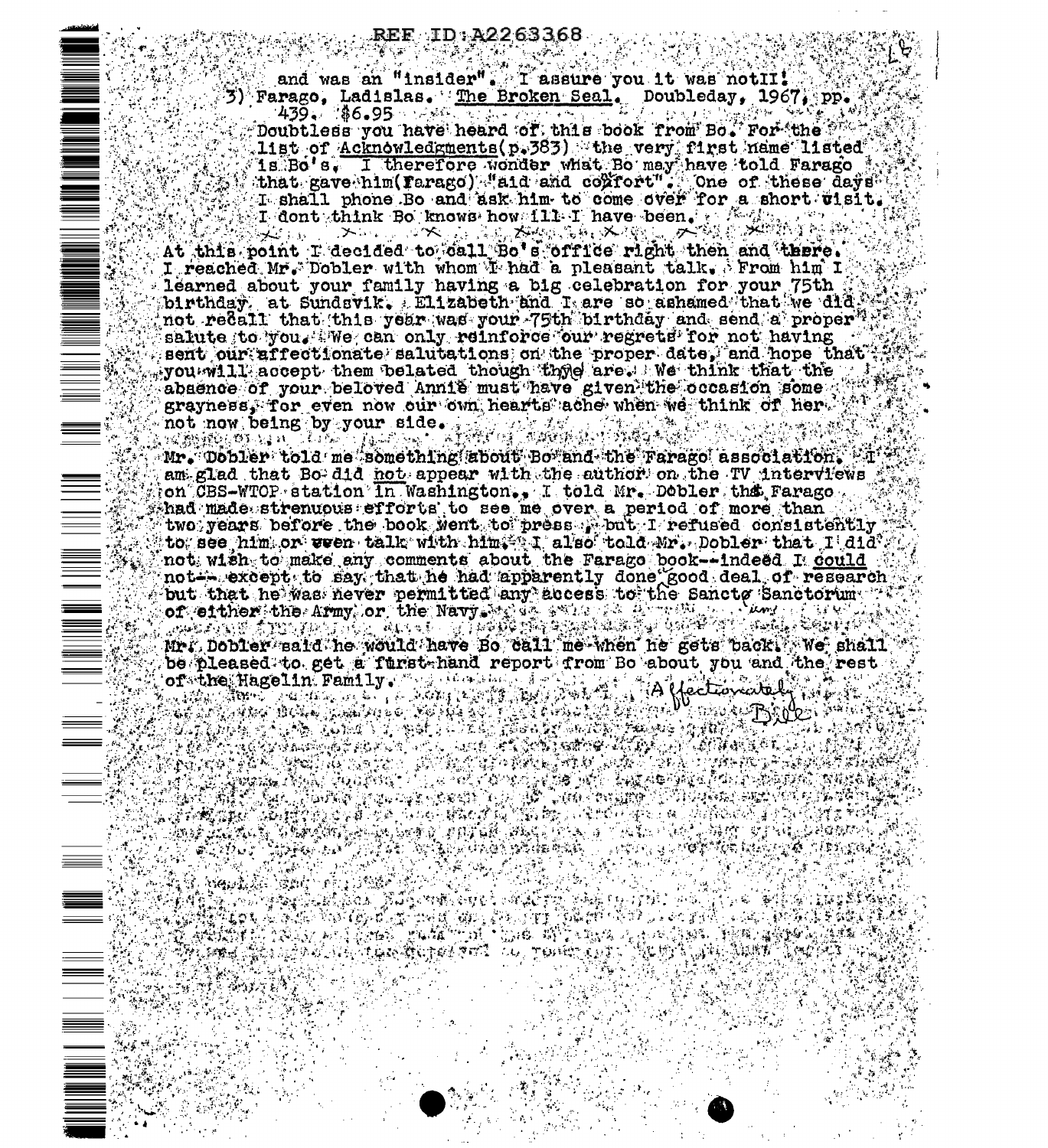and was an "insider". I assure you it was notII!

3) Farago, Ladislas. The Broken Seal. Doubleday, 1967, pp. 3.<br>439. (\$6.95 ) ... ... heard of this book from Bo. For the 2000  $(11$ st of  ${\rm Acknowledgments}$ (p.383) the very first name listed ). 1s Bo's. I therefore wonder what Bo may have told Farago that gave him(Farago) "aid and confort". One of these days" I dont think Bo knows how ill I have been  $\mathcal{C} \subset \mathbb{Z}$  when

SAND TO A STRING AND AND ANOTHER THANKS AND AN ASSASS At this point I decided to call Bo's office right then and there. I reached Mr. Dobler with whom I had a pleasant talk, From him I learned about your family having a big celebration for your 75th birthday, at Sundsvik. Elizabeth and I are so ashamed that we did. not recall that this year was your 75th birthday and send a proper  $^{n}$  if salute to you. We can only reinforce our regrets for not having sent our affectionate salutations on the proper date, and hope that? you will accept them belated though thye are. We think that the abaence of your beloved Annie must have given the occasion some t grayness. Tor even now our own hearts ache when we think of her. not now being by your side. The side of the state of the state of

Mr. Dobler told me something about Bo and the Farago association. am glad that Bo did not appear with the author on the TV interviews on CBS-WTOP station in Washington., I told Mr. Dobler the Farago.  $\mathbb R$ had made strenuous efforts to see me over a period of more than two years before the book went to press but I refused consistently to see him or ween talk with him. I also told  $Mr$ . Dobler that I did? not-- except to say that he had apparently done good deal of research but that he was never permitted any access to the Sancto Sanctorum is of either the Army or the Navy and a way of the Manuscript of the Contract of the Manuscript of the Manuscript<br>Mr. Dobler said he would have Bo call me when he gets back , We shall

میں<br>بازیکی ک

٠r,

be pleased to get a furst hand report from Bo about you and the rest a

be pleased to get a funst hand report grow Bo about you and the rest

أوالأنافي أريده أبالا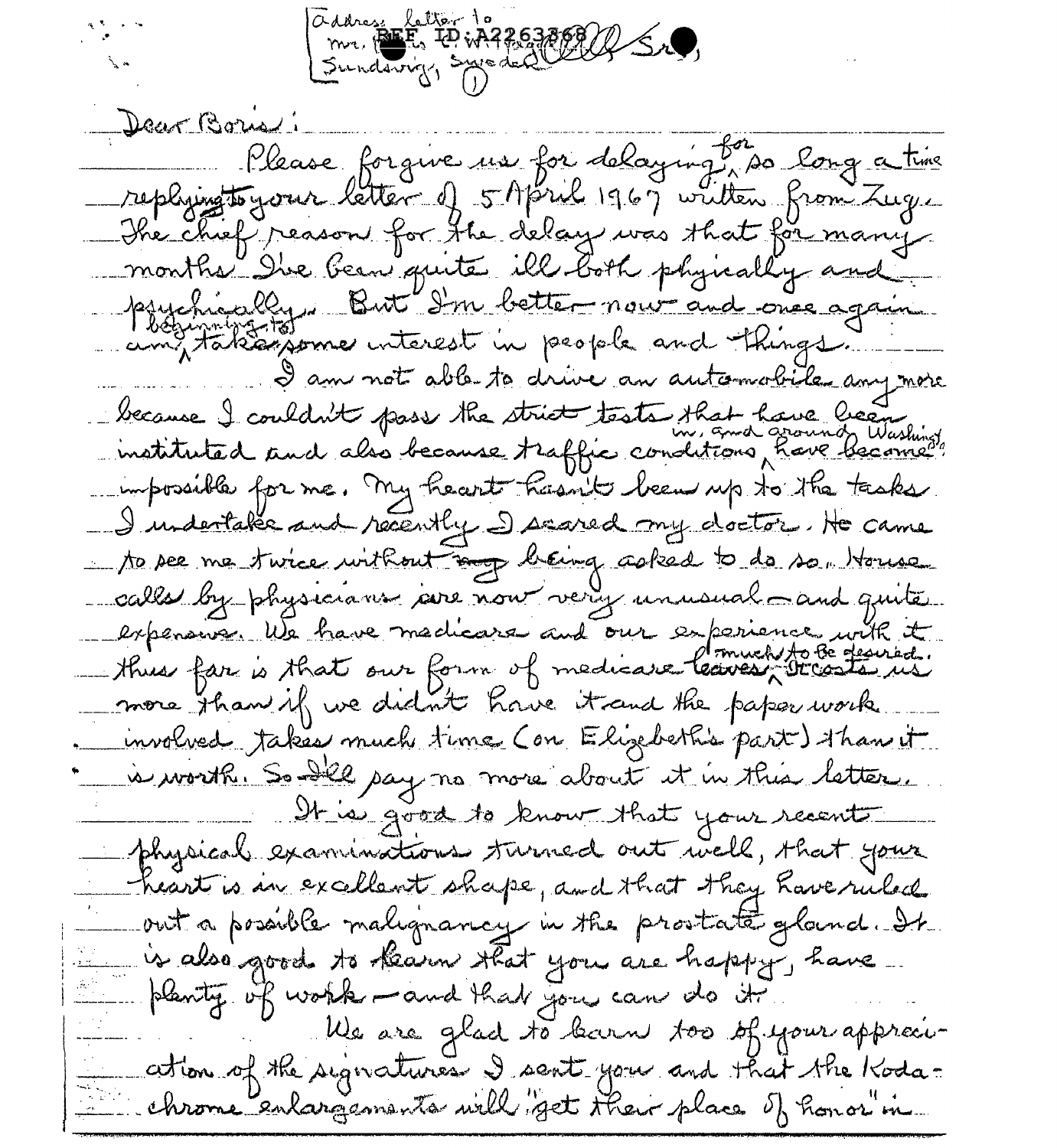address letter 10<br>mr. BEE to iA7263869/Q Sr. Dear Boussi Please forgive un for delaying for song a time replying to your letter of 5 April 1967 written from Zug. The chief reason for the delay was that for many months Die Geen quite ill both phynally and psychically But I'm better nour and once again. am taken some interest in people and things. I am not able to drive an automobile any more because I couldn't pass the strict tests that have been matituted and also because traffic conditions, have became impossible for me. My heart hasn't been up to the tasks. I undertake and recently I seared my doctor, He came to see me twice without may being coked to do so. House calles by physicians are now very unusual - and quite expensives. We have medicare and our experience wit thus far is that our form of medicare leaves votresté us more thank if we didn't have it and the paper work involved takes much time Con Elizabeth's part) than it à worth. So Del pay no more about it in the letter. It is good to know that your recent physical examinations trumed out well, that your heart is an excellent shape, and that they have ruled out a possible malignancy in the prostate gland. It is also good to thearm that you are happy, have planty of work - and that you can do it We are glad to barn too of your appreciation of the signatures I sent your and that the Kodachrome enlargements will get their place of honor in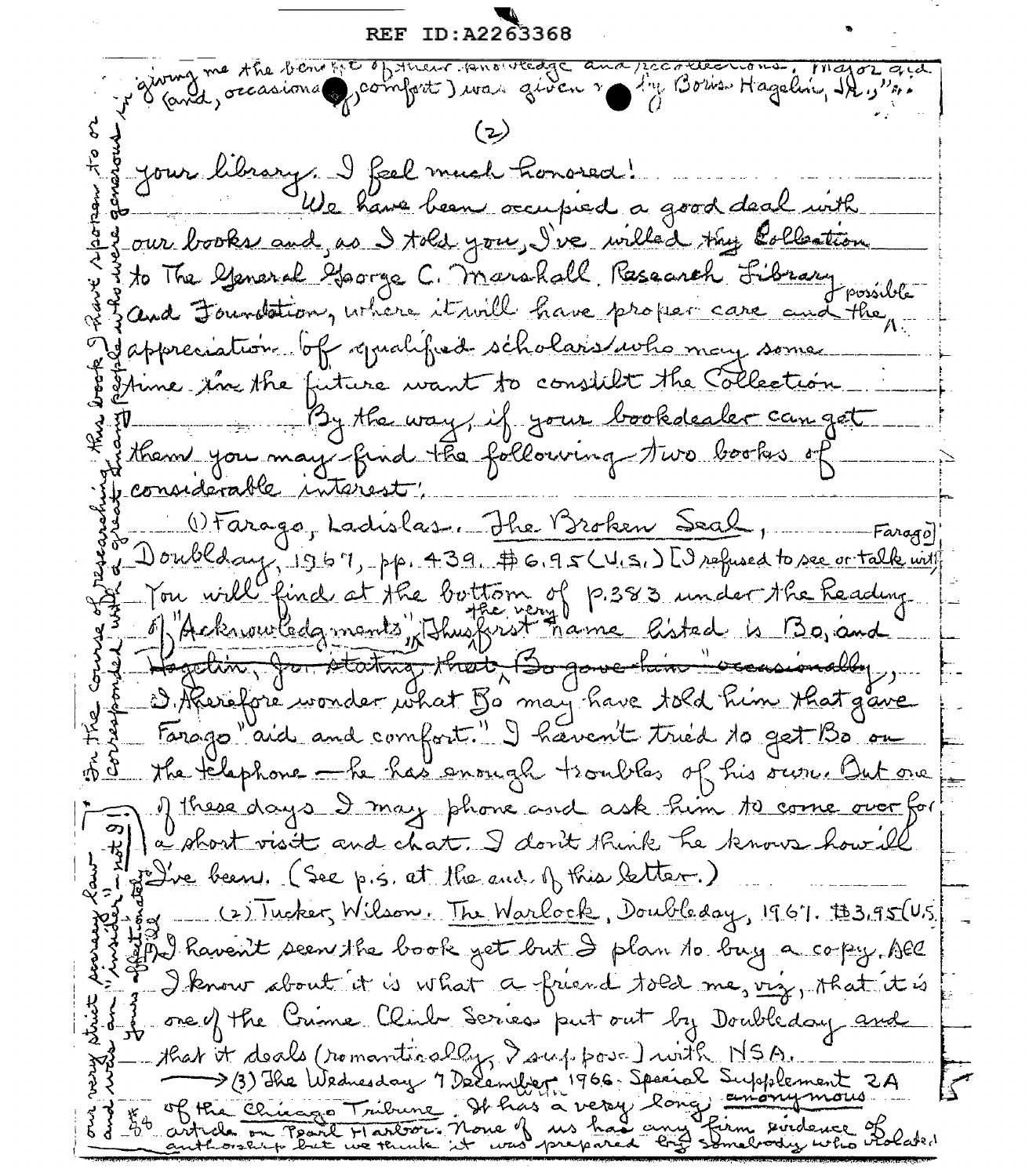**REF ID:A2263368** je diving me the benefit of their renouvedge and recorded no. Major and Jour library. I feel much honored! We have been occupied a good deal with our books and as I told you, I've willed thy Collection to The General George C. Marshall, Research Fibrary possible Jappreciation of yualified scholars who may some Trime the future want to constilut the Collection By the way, if your bookdealer can get them you may find the following two books of considerable interest. (1) Farago, Ladislas. The Broken Seal,  $-Farago$ Doublang, 1967, pp. 439. \$6.95 (U.S.) [I refused to see or talk with You will find at the bottom of p.383 under the Keading of Acknowledgments, Thuskirst hame listed is Bo, and togethin, for stating that, Bo gove him examinably, B. Resiefore wonder what  $\mathbb S$ o may have told him that gave Farago "aid and comfort." I haven't tried to get Bo on the telephone - he has enough troubles of his own. Out one of these days I may phone and ask him to come over for a short visit and chat. I don't think he knows how ill  $\frac{3}{8}$  in figure been. (See p.5, at the end of this letter.) 3 Jan 1967, Wilson, The Warlock, Doubleday, 1967, 19395 (U.S.) (A) Raven't seen the book yet but I plan to buy a copy. All I know about it is what a friend told me, viz, that it is f one of the Crime Clink Series put out by Doubleday and that it deals (romantically Isuppose) with NSA.<br>> (3) The Wednesday 7 December 1966-Sparial Supplement ZA 15 of the Chicago Tribune. It has a very long) anony<br>30 avrile on point Harbor. None of us had any firm son